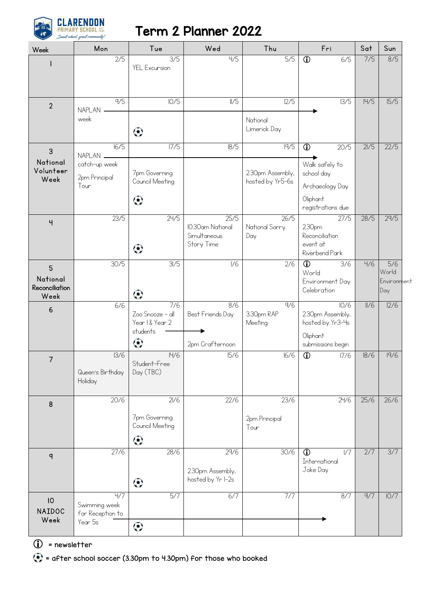

## Term 2 Planner 2022

| Week                               | Mon                                    | Tue                                       | Wed                                                    | Thu                                  | Fri                                                            | Sat  | Sun                |
|------------------------------------|----------------------------------------|-------------------------------------------|--------------------------------------------------------|--------------------------------------|----------------------------------------------------------------|------|--------------------|
|                                    | 2/5                                    | 3/5<br>YEL Excursion                      | 4/5                                                    | 5/5                                  | $\overline{\mathbb{O}}$<br>6/5                                 | 7/5  | 8/5                |
|                                    |                                        |                                           |                                                        |                                      |                                                                |      |                    |
| $\overline{2}$                     | $\overline{9/5}$<br><b>NAPLAN</b>      | 10/5                                      | $\frac{1}{5}$                                          | 12/5                                 | $\overline{13/5}$                                              | H/5  | $\overline{5/5}$   |
|                                    | week                                   | $\odot$                                   |                                                        | National<br>Limerick Day             |                                                                |      |                    |
| 3<br>National                      | 16/5<br>NAPLAN _                       | 17/5                                      | 18/5                                                   | 9/5                                  | $\overline{\mathbb{O}}$<br>20/5                                | 2/5  | 22/5               |
| Volunteer<br>Week                  | catch-up week<br>2pm Principal<br>Tour | 7pm Governing<br>Council Meeting          |                                                        | 2.30pm Assembly,<br>hosted by Yr5-6s | Walk safely to<br>school day<br>Archaeology Day                |      |                    |
|                                    |                                        | $\odot$                                   |                                                        |                                      | Oliphant<br>registrations due                                  |      |                    |
| Ч                                  | 23/5                                   | 24/5<br>$\odot$                           | 25/5<br>10.30am National<br>Simultaneous<br>Story Time | 26/5<br>National Sorry<br>Day        | 27/5<br>2.30pm<br>Reconciliation<br>event at<br>Riverbend Park | 28/5 | 29/5               |
| 5                                  | 30/5                                   | 3/5                                       | $\overline{V}$                                         | $\overline{2/6}$                     | $\overline{0}$<br>3/6<br>World                                 | 4/6  | 5/6<br>World       |
| National<br>Reconciliation<br>Week |                                        | $\odot$                                   |                                                        |                                      | Environment Day<br>Celebration                                 |      | Environment<br>Day |
| 6                                  | 6/6                                    | 7/6<br>Zoo Snooze - all<br>Year 1& Year 2 | 8/6<br>Best Friends Day                                | 9/6<br>3.30pm RAP<br>Meeting         | 10/6<br>2.30pm Assembly,<br>hosted by Yr3-4s                   | II/6 | 12/6               |
|                                    |                                        | students<br>$\odot$                       | 2pm Crafternoon                                        |                                      | Oliphant<br>submissions begin                                  |      |                    |
| 7                                  | 13/6<br>Queen's Birthday<br>Holiday    | H/6<br>Student-Free<br>Day (TBC)          | 15/6                                                   | 16/6                                 | $\overline{\mathbb{O}}$<br>17/6                                | 18/6 | 9/6                |
| 8                                  | 20/6                                   | 21/6                                      | 22/6                                                   | 23/6                                 | 24/6                                                           | 25/6 | 26/6               |
|                                    |                                        | 7pm Governing<br>Council Meeting          |                                                        | 2pm Principal<br>Tour                |                                                                |      |                    |
|                                    | 27/6                                   | $\odot$<br>28/6                           | 29/6                                                   | 30/6                                 | $\overline{\mathbb{O}}$<br>1/7                                 | 2/7  | 3/7                |
| q                                  |                                        |                                           | 2.30pm Assembly,                                       |                                      | International<br>Joke Day                                      |      |                    |
|                                    | 4/7                                    | $\odot$<br>5/7                            | hosted by Yr I-2s<br>6/7                               | 7/7                                  | 8/7                                                            | 9/7  | 10/7               |
| 10<br>NAIDOC<br>Week               | Swimming week<br>for Reception to      |                                           |                                                        |                                      |                                                                |      |                    |
|                                    | Year 5s                                | $\odot$                                   |                                                        |                                      |                                                                |      |                    |

 $\bigcirc$  = newsletter

= after school soccer (3.30pm to 4.30pm) for those who booked